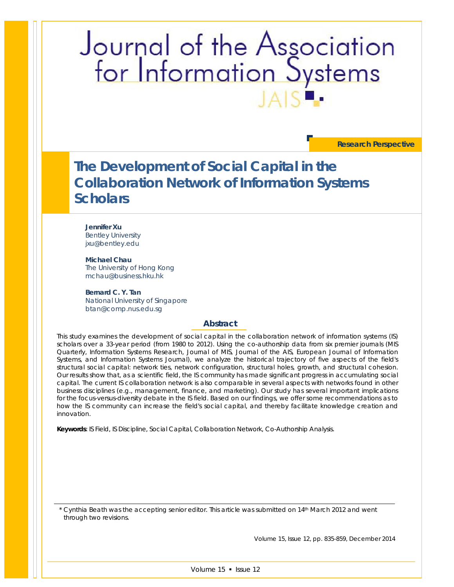# Journal of the Association<br>for Information Systems

**Research Perspective**

# **The Development of Social Capital in the Collaboration Network of Information Systems Scholars**

#### **Jennifer Xu** Bentley University

jxu@bentley.edu

**Michael Chau** The University of Hong Kong mchau@business.hku.hk

**Bernard C. Y. Tan** National University of Singapore btan@comp.nus.edu.sg

#### **Abstract**

*This study examines the development of social capital in the collaboration network of information systems (IS) scholars over a 33-year period (from 1980 to 2012). Using the co-authorship data from six premier journals (MIS Quarterly, Information Systems Research, Journal of MIS, Journal of the AIS, European Journal of Information Systems, and Information Systems Journal), we analyze the historical trajectory of five aspects of the field's structural social capital: network ties, network configuration, structural holes, growth, and structural cohesion. Our results show that, as a scientific field, the IS community has made significant progress in accumulating social*  capital. The current IS collaboration network is also comparable in several aspects with networks found in other *business disciplines (e.g., management, finance, and marketing). Our study has several important implications for the focus-versus-diversity debate in the IS field. Based on our findings, we offer some recommendations as to how the IS community can increase the field's social capital, and thereby facilitate knowledge creation and innovation.*

*Keywords: IS Field, IS Discipline, Social Capital, Collaboration Network, Co-Authorship Analysis.*

\* Cynthia Beath was the accepting senior editor. This article was submitted on 14th March 2012 and went through two revisions.

Volume 15, Issue 12, pp. 835-859, December 2014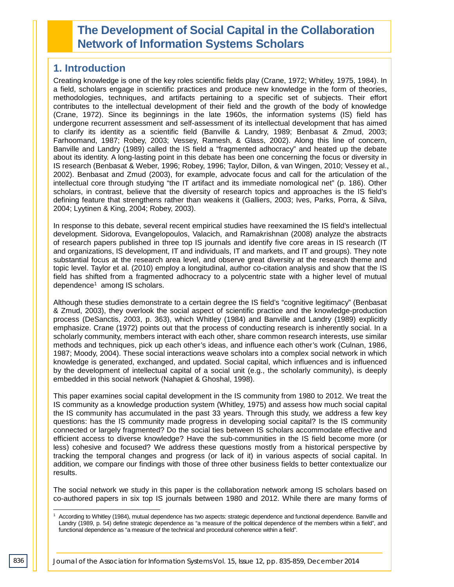# **The Development of Social Capital in the Collaboration Network of Information Systems Scholars**

# **1. Introduction**

Creating knowledge is one of the key roles scientific fields play (Crane, 1972; Whitley, 1975, 1984). In a field, scholars engage in scientific practices and produce new knowledge in the form of theories, methodologies, techniques, and artifacts pertaining to a specific set of subjects. Their effort contributes to the intellectual development of their field and the growth of the body of knowledge (Crane, 1972). Since its beginnings in the late 1960s, the information systems (IS) field has undergone recurrent assessment and self-assessment of its intellectual development that has aimed to clarify its identity as a scientific field (Banville & Landry, 1989; Benbasat & Zmud, 2003; Farhoomand, 1987; Robey, 2003; Vessey, Ramesh, & Glass, 2002). Along this line of concern, Banville and Landry (1989) called the IS field a "fragmented adhocracy" and heated up the debate about its identity. A long-lasting point in this debate has been one concerning the focus or diversity in IS research (Benbasat & Weber, 1996; Robey, 1996; Taylor, Dillon, & van Wingen, 2010; Vessey et al., 2002). Benbasat and Zmud (2003), for example, advocate focus and call for the articulation of the intellectual core through studying "the IT artifact and its immediate nomological net" (p. 186). Other scholars, in contrast, believe that the diversity of research topics and approaches is the IS field's defining feature that strengthens rather than weakens it (Galliers, 2003; Ives, Parks, Porra, & Silva, 2004; Lyytinen & King, 2004; Robey, 2003).

In response to this debate, several recent empirical studies have reexamined the IS field's intellectual development. Sidorova, Evangelopoulos, Valacich, and Ramakrishnan (2008) analyze the abstracts of research papers published in three top IS journals and identify five core areas in IS research (IT and organizations, IS development, IT and individuals, IT and markets, and IT and groups). They note substantial focus at the research area level, and observe great diversity at the research theme and topic level. Taylor et al. (2010) employ a longitudinal, author co-citation analysis and show that the IS field has shifted from a fragmented adhocracy to a polycentric state with a higher level of mutual dependence<sup>1</sup> among IS scholars.

Although these studies demonstrate to a certain degree the IS field's "cognitive legitimacy" (Benbasat & Zmud, 2003), they overlook the social aspect of scientific practice and the knowledge-production process (DeSanctis, 2003, p. 363), which Whitley (1984) and Banville and Landry (1989) explicitly emphasize. Crane (1972) points out that the process of conducting research is inherently social. In a scholarly community, members interact with each other, share common research interests, use similar methods and techniques, pick up each other's ideas, and influence each other's work (Culnan, 1986, 1987; Moody, 2004). These social interactions weave scholars into a complex social network in which knowledge is generated, exchanged, and updated. Social capital, which influences and is influenced by the development of intellectual capital of a social unit (e.g., the scholarly community), is deeply embedded in this social network (Nahapiet & Ghoshal, 1998).

This paper examines social capital development in the IS community from 1980 to 2012. We treat the IS community as a knowledge production system (Whitley, 1975) and assess how much social capital the IS community has accumulated in the past 33 years. Through this study, we address a few key questions: has the IS community made progress in developing social capital? Is the IS community connected or largely fragmented? Do the social ties between IS scholars accommodate effective and efficient access to diverse knowledge? Have the sub-communities in the IS field become more (or less) cohesive and focused? We address these questions mostly from a historical perspective by tracking the temporal changes and progress (or lack of it) in various aspects of social capital. In addition, we compare our findings with those of three other business fields to better contextualize our results.

The social network we study in this paper is the collaboration network among IS scholars based on co-authored papers in six top IS journals between 1980 and 2012. While there are many forms of

According to Whitley (1984), mutual dependence has two aspects: strategic dependence and functional dependence. Banville and Landry (1989, p. 54) define strategic dependence as "a measure of the political dependence of the members within a field", and functional dependence as "a measure of the technical and procedural coherence within a field". j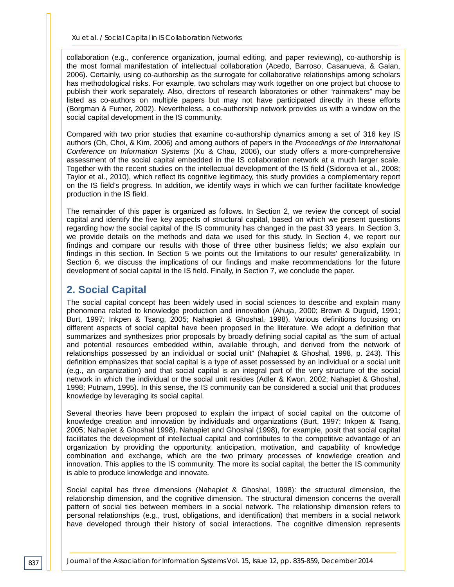collaboration (e.g., conference organization, journal editing, and paper reviewing), co-authorship is the most formal manifestation of intellectual collaboration (Acedo, Barroso, Casanueva, & Galan, 2006). Certainly, using co-authorship as the surrogate for collaborative relationships among scholars has methodological risks. For example, two scholars may work together on one project but choose to publish their work separately. Also, directors of research laboratories or other "rainmakers" may be listed as co-authors on multiple papers but may not have participated directly in these efforts (Borgman & Furner, 2002). Nevertheless, a co-authorship network provides us with a window on the social capital development in the IS community.

Compared with two prior studies that examine co-authorship dynamics among a set of 316 key IS authors (Oh, Choi, & Kim, 2006) and among authors of papers in the *Proceedings of the International Conference on Information Systems* (Xu & Chau, 2006), our study offers a more-comprehensive assessment of the social capital embedded in the IS collaboration network at a much larger scale. Together with the recent studies on the intellectual development of the IS field (Sidorova et al., 2008; Taylor et al., 2010), which reflect its cognitive legitimacy, this study provides a complementary report on the IS field's progress. In addition, we identify ways in which we can further facilitate knowledge production in the IS field.

The remainder of this paper is organized as follows. In Section 2, we review the concept of social capital and identify the five key aspects of structural capital, based on which we present questions regarding how the social capital of the IS community has changed in the past 33 years. In Section 3, we provide details on the methods and data we used for this study. In Section 4, we report our findings and compare our results with those of three other business fields; we also explain our findings in this section. In Section 5 we points out the limitations to our results' generalizability. In Section 6, we discuss the implications of our findings and make recommendations for the future development of social capital in the IS field. Finally, in Section 7, we conclude the paper.

# **2. Social Capital**

The social capital concept has been widely used in social sciences to describe and explain many phenomena related to knowledge production and innovation (Ahuja, 2000; Brown & Duguid, 1991; Burt, 1997; Inkpen & Tsang, 2005; Nahapiet & Ghoshal, 1998). Various definitions focusing on different aspects of social capital have been proposed in the literature. We adopt a definition that summarizes and synthesizes prior proposals by broadly defining social capital as "the sum of actual and potential resources embedded within, available through, and derived from the network of relationships possessed by an individual or social unit" (Nahapiet & Ghoshal, 1998, p. 243). This definition emphasizes that social capital is a type of asset possessed by an individual or a social unit (e.g., an organization) and that social capital is an integral part of the very structure of the social network in which the individual or the social unit resides (Adler & Kwon, 2002; Nahapiet & Ghoshal, 1998; Putnam, 1995). In this sense, the IS community can be considered a social unit that produces knowledge by leveraging its social capital.

Several theories have been proposed to explain the impact of social capital on the outcome of knowledge creation and innovation by individuals and organizations (Burt, 1997; Inkpen & Tsang, 2005; Nahapiet & Ghoshal 1998). Nahapiet and Ghoshal (1998), for example, posit that social capital facilitates the development of intellectual capital and contributes to the competitive advantage of an organization by providing the opportunity, anticipation, motivation, and capability of knowledge combination and exchange, which are the two primary processes of knowledge creation and innovation. This applies to the IS community. The more its social capital, the better the IS community is able to produce knowledge and innovate.

Social capital has three dimensions (Nahapiet & Ghoshal, 1998): the structural dimension, the relationship dimension, and the cognitive dimension. The structural dimension concerns the overall pattern of social ties between members in a social network. The relationship dimension refers to personal relationships (e.g., trust, obligations, and identification) that members in a social network have developed through their history of social interactions. The cognitive dimension represents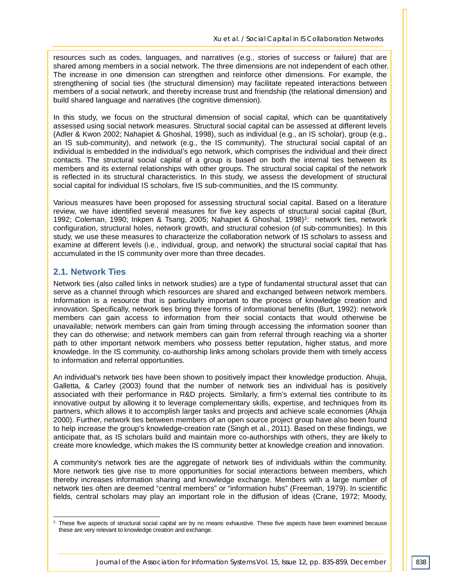resources such as codes, languages, and narratives (e.g., stories of success or failure) that are shared among members in a social network. The three dimensions are not independent of each other. The increase in one dimension can strengthen and reinforce other dimensions. For example, the strengthening of social ties (the structural dimension) may facilitate repeated interactions between members of a social network, and thereby increase trust and friendship (the relational dimension) and build shared language and narratives (the cognitive dimension).

In this study, we focus on the structural dimension of social capital, which can be quantitatively assessed using social network measures. Structural social capital can be assessed at different levels (Adler & Kwon 2002; Nahapiet & Ghoshal, 1998), such as individual (e.g., an IS scholar), group (e.g., an IS sub-community), and network (e.g., the IS community). The structural social capital of an individual is embedded in the individual's ego network, which comprises the individual and their direct contacts. The structural social capital of a group is based on both the internal ties between its members and its external relationships with other groups. The structural social capital of the network is reflected in its structural characteristics. In this study, we assess the development of structural social capital for individual IS scholars, five IS sub-communities, and the IS community.

Various measures have been proposed for assessing structural social capital. Based on a literature review, we have identified several measures for five key aspects of structural social capital (Burt, 1992; Coleman, 1990; Inkpen & Tsang, 2005; Nahapiet & Ghoshal, 1998)<sup>2</sup>: network ties, network configuration, structural holes, network growth, and structural cohesion (of sub-communities). In this study, we use these measures to characterize the collaboration network of IS scholars to assess and examine at different levels (i.e., individual, group, and network) the structural social capital that has accumulated in the IS community over more than three decades.

#### **2.1. Network Ties**

Network ties (also called links in network studies) are a type of fundamental structural asset that can serve as a channel through which resources are shared and exchanged between network members. Information is a resource that is particularly important to the process of knowledge creation and innovation. Specifically, network ties bring three forms of informational benefits (Burt, 1992): network members can gain access to information from their social contacts that would otherwise be unavailable; network members can gain from timing through accessing the information sooner than they can do otherwise; and network members can gain from referral through reaching via a shorter path to other important network members who possess better reputation, higher status, and more knowledge. In the IS community, co-authorship links among scholars provide them with timely access to information and referral opportunities.

An individual's network ties have been shown to positively impact their knowledge production. Ahuja, Galletta, & Carley (2003) found that the number of network ties an individual has is positively associated with their performance in R&D projects. Similarly, a firm's external ties contribute to its innovative output by allowing it to leverage complementary skills, expertise, and techniques from its partners, which allows it to accomplish larger tasks and projects and achieve scale economies (Ahuja 2000). Further, network ties between members of an open source project group have also been found to help increase the group's knowledge-creation rate (Singh et al., 2011). Based on these findings, we anticipate that, as IS scholars build and maintain more co-authorships with others, they are likely to create more knowledge, which makes the IS community better at knowledge creation and innovation.

A community's network ties are the aggregate of network ties of individuals within the community. More network ties give rise to more opportunities for social interactions between members, which thereby increases information sharing and knowledge exchange. Members with a large number of network ties often are deemed "central members" or "information hubs" (Freeman, 1979). In scientific fields, central scholars may play an important role in the diffusion of ideas (Crane, 1972; Moody,

 $2$  These five aspects of structural social capital are by no means exhaustive. These five aspects have been examined because these are very relevant to knowledge creation and exchange. -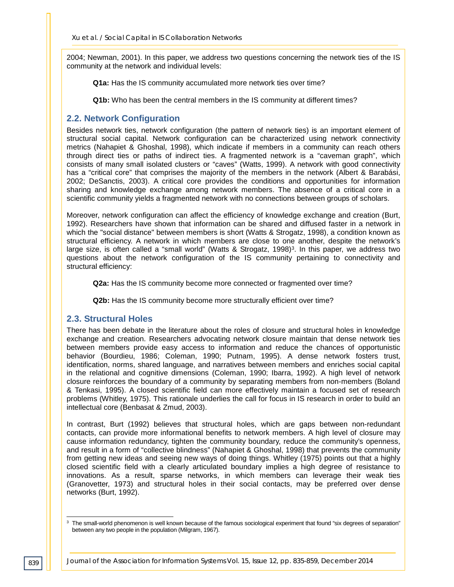2004; Newman, 2001). In this paper, we address two questions concerning the network ties of the IS community at the network and individual levels:

**Q1a:** Has the IS community accumulated more network ties over time?

**Q1b:** Who has been the central members in the IS community at different times?

#### **2.2. Network Configuration**

Besides network ties, network configuration (the pattern of network ties) is an important element of structural social capital. Network configuration can be characterized using network connectivity metrics (Nahapiet & Ghoshal, 1998), which indicate if members in a community can reach others through direct ties or paths of indirect ties. A fragmented network is a "caveman graph", which consists of many small isolated clusters or "caves" (Watts, 1999). A network with good connectivity has a "critical core" that comprises the majority of the members in the network (Albert & Barabási, 2002; DeSanctis, 2003). A critical core provides the conditions and opportunities for information sharing and knowledge exchange among network members. The absence of a critical core in a scientific community yields a fragmented network with no connections between groups of scholars.

Moreover, network configuration can affect the efficiency of knowledge exchange and creation (Burt, 1992). Researchers have shown that information can be shared and diffused faster in a network in which the "social distance" between members is short (Watts & Strogatz, 1998), a condition known as structural efficiency. A network in which members are close to one another, despite the network's large size, is often called a "small world" (Watts & Strogatz, 1998)<sup>3</sup>. In this paper, we address two questions about the network configuration of the IS community pertaining to connectivity and structural efficiency:

**Q2a:** Has the IS community become more connected or fragmented over time?

**Q2b:** Has the IS community become more structurally efficient over time?

#### **2.3. Structural Holes**

There has been debate in the literature about the roles of closure and structural holes in knowledge exchange and creation. Researchers advocating network closure maintain that dense network ties between members provide easy access to information and reduce the chances of opportunistic behavior (Bourdieu, 1986; Coleman, 1990; Putnam, 1995). A dense network fosters trust, identification, norms, shared language, and narratives between members and enriches social capital in the relational and cognitive dimensions (Coleman, 1990; Ibarra, 1992). A high level of network closure reinforces the boundary of a community by separating members from non-members (Boland & Tenkasi, 1995). A closed scientific field can more effectively maintain a focused set of research problems (Whitley, 1975). This rationale underlies the call for focus in IS research in order to build an intellectual core (Benbasat & Zmud, 2003).

In contrast, Burt (1992) believes that structural holes, which are gaps between non-redundant contacts, can provide more informational benefits to network members. A high level of closure may cause information redundancy, tighten the community boundary, reduce the community's openness, and result in a form of "collective blindness" (Nahapiet & Ghoshal, 1998) that prevents the community from getting new ideas and seeing new ways of doing things. Whitley (1975) points out that a highly closed scientific field with a clearly articulated boundary implies a high degree of resistance to innovations. As a result, sparse networks, in which members can leverage their weak ties (Granovetter, 1973) and structural holes in their social contacts, may be preferred over dense networks (Burt, 1992).

 $3$  The small-world phenomenon is well known because of the famous sociological experiment that found "six degrees of separation" between any two people in the population (Milgram, 1967). -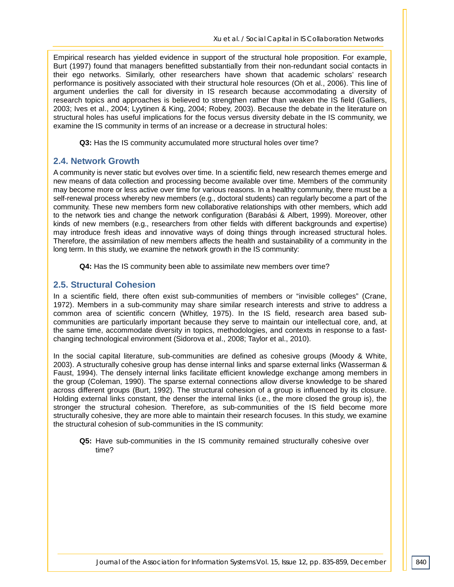Empirical research has yielded evidence in support of the structural hole proposition. For example, Burt (1997) found that managers benefitted substantially from their non-redundant social contacts in their ego networks. Similarly, other researchers have shown that academic scholars' research performance is positively associated with their structural hole resources (Oh et al., 2006). This line of argument underlies the call for diversity in IS research because accommodating a diversity of research topics and approaches is believed to strengthen rather than weaken the IS field (Galliers, 2003; Ives et al., 2004; Lyytinen & King, 2004; Robey, 2003). Because the debate in the literature on structural holes has useful implications for the focus versus diversity debate in the IS community, we examine the IS community in terms of an increase or a decrease in structural holes:

**Q3:** Has the IS community accumulated more structural holes over time?

#### **2.4. Network Growth**

A community is never static but evolves over time. In a scientific field, new research themes emerge and new means of data collection and processing become available over time. Members of the community may become more or less active over time for various reasons. In a healthy community, there must be a self-renewal process whereby new members (e.g., doctoral students) can regularly become a part of the community. These new members form new collaborative relationships with other members, which add to the network ties and change the network configuration (Barabási & Albert, 1999). Moreover, other kinds of new members (e.g., researchers from other fields with different backgrounds and expertise) may introduce fresh ideas and innovative ways of doing things through increased structural holes. Therefore, the assimilation of new members affects the health and sustainability of a community in the long term. In this study, we examine the network growth in the IS community:

**Q4:** Has the IS community been able to assimilate new members over time?

#### **2.5. Structural Cohesion**

In a scientific field, there often exist sub-communities of members or "invisible colleges" (Crane, 1972). Members in a sub-community may share similar research interests and strive to address a common area of scientific concern (Whitley, 1975). In the IS field, research area based subcommunities are particularly important because they serve to maintain our intellectual core, and, at the same time, accommodate diversity in topics, methodologies, and contexts in response to a fastchanging technological environment (Sidorova et al., 2008; Taylor et al., 2010).

In the social capital literature, sub-communities are defined as cohesive groups (Moody & White, 2003). A structurally cohesive group has dense internal links and sparse external links (Wasserman & Faust, 1994). The densely internal links facilitate efficient knowledge exchange among members in the group (Coleman, 1990). The sparse external connections allow diverse knowledge to be shared across different groups (Burt, 1992). The structural cohesion of a group is influenced by its closure. Holding external links constant, the denser the internal links (i.e., the more closed the group is), the stronger the structural cohesion. Therefore, as sub-communities of the IS field become more structurally cohesive, they are more able to maintain their research focuses. In this study, we examine the structural cohesion of sub-communities in the IS community:

**Q5:** Have sub-communities in the IS community remained structurally cohesive over time?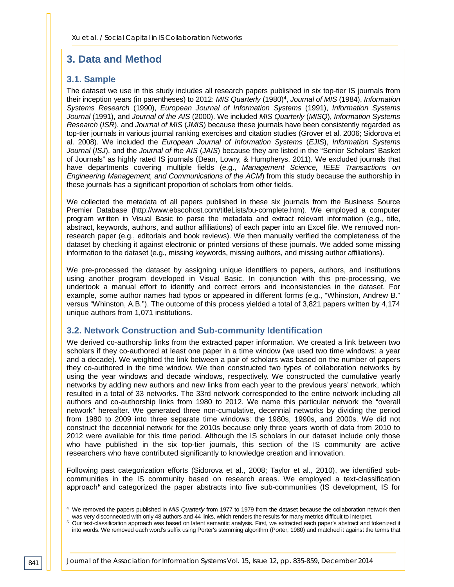# **3. Data and Method**

#### **3.1. Sample**

The dataset we use in this study includes all research papers published in six top-tier IS journals from their inception years (in parentheses) to 2012: *MIS Quarterly* (1980)4, *Journal of MIS* (1984), *Information Systems Research* (1990), *European Journal of Information Systems* (1991), *Information Systems Journal* (1991), and *Journal of the AIS* (2000). We included *MIS Quarterly* (*MISQ*), *Information Systems Research* (*ISR*), and *Journal of MIS* (*JMIS*) because these journals have been consistently regarded as top-tier journals in various journal ranking exercises and citation studies (Grover et al. 2006; Sidorova et al. 2008). We included the *European Journal of Information Systems* (*EJIS*), *Information Systems Journal* (*ISJ*), and the *Journal of the AIS* (*JAIS*) because they are listed in the "Senior Scholars' Basket of Journals" as highly rated IS journals (Dean, Lowry, & Humpherys, 2011). We excluded journals that have departments covering multiple fields (e.g., *Management Science, IEEE Transactions on Engineering Management, and Communications of the ACM*) from this study because the authorship in these journals has a significant proportion of scholars from other fields.

We collected the metadata of all papers published in these six journals from the Business Source Premier Database (http://www.ebscohost.com/titleLists/bu-complete.htm). We employed a computer program written in Visual Basic to parse the metadata and extract relevant information (e.g., title, abstract, keywords, authors, and author affiliations) of each paper into an Excel file. We removed nonresearch paper (e.g., editorials and book reviews). We then manually verified the completeness of the dataset by checking it against electronic or printed versions of these journals. We added some missing information to the dataset (e.g., missing keywords, missing authors, and missing author affiliations).

We pre-processed the dataset by assigning unique identifiers to papers, authors, and institutions using another program developed in Visual Basic. In conjunction with this pre-processing, we undertook a manual effort to identify and correct errors and inconsistencies in the dataset. For example, some author names had typos or appeared in different forms (e.g., "Whinston, Andrew B." versus "Whinston, A.B."). The outcome of this process yielded a total of 3,821 papers written by 4,174 unique authors from 1,071 institutions.

#### **3.2. Network Construction and Sub-community Identification**

We derived co-authorship links from the extracted paper information. We created a link between two scholars if they co-authored at least one paper in a time window (we used two time windows: a year and a decade). We weighted the link between a pair of scholars was based on the number of papers they co-authored in the time window. We then constructed two types of collaboration networks by using the year windows and decade windows, respectively. We constructed the cumulative yearly networks by adding new authors and new links from each year to the previous years' network, which resulted in a total of 33 networks. The 33rd network corresponded to the entire network including all authors and co-authorship links from 1980 to 2012. We name this particular network the "overall network" hereafter. We generated three non-cumulative, decennial networks by dividing the period from 1980 to 2009 into three separate time windows: the 1980s, 1990s, and 2000s. We did not construct the decennial network for the 2010s because only three years worth of data from 2010 to 2012 were available for this time period. Although the IS scholars in our dataset include only those who have published in the six top-tier journals, this section of the IS community are active researchers who have contributed significantly to knowledge creation and innovation.

Following past categorization efforts (Sidorova et al., 2008; Taylor et al., 2010), we identified subcommunities in the IS community based on research areas. We employed a text-classification approach<sup>5</sup> and categorized the paper abstracts into five sub-communities (IS development, IS for

<sup>4</sup> We removed the papers published in *MIS Quarterly* from 1977 to 1979 from the dataset because the collaboration network then was very disconnected with only 48 authors and 44 links, which renders the results for many metrics difficult to interpret. -

<sup>&</sup>lt;sup>5</sup> Our text-classification approach was based on latent semantic analysis. First, we extracted each paper's abstract and tokenized it into words. We removed each word's suffix using Porter's stemming algorithm (Porter, 1980) and matched it against the terms that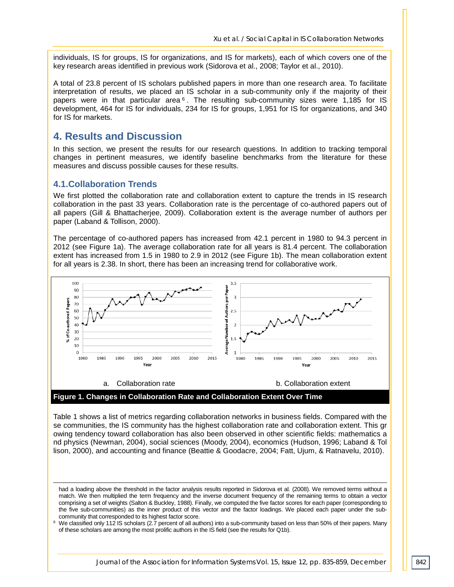individuals, IS for groups, IS for organizations, and IS for markets), each of which covers one of the key research areas identified in previous work (Sidorova et al., 2008; Taylor et al., 2010).

A total of 23.8 percent of IS scholars published papers in more than one research area. To facilitate interpretation of results, we placed an IS scholar in a sub-community only if the majority of their papers were in that particular area  $6$ . The resulting sub-community sizes were 1,185 for IS development, 464 for IS for individuals, 234 for IS for groups, 1,951 for IS for organizations, and 340 for IS for markets.

#### **4. Results and Discussion**

In this section, we present the results for our research questions. In addition to tracking temporal changes in pertinent measures, we identify baseline benchmarks from the literature for these measures and discuss possible causes for these results.

#### **4.1.Collaboration Trends**

j

We first plotted the collaboration rate and collaboration extent to capture the trends in IS research collaboration in the past 33 years. Collaboration rate is the percentage of co-authored papers out of all papers (Gill & Bhattacherjee, 2009). Collaboration extent is the average number of authors per paper (Laband & Tollison, 2000).

The percentage of co-authored papers has increased from 42.1 percent in 1980 to 94.3 percent in 2012 (see Figure 1a). The average collaboration rate for all years is 81.4 percent. The collaboration extent has increased from 1.5 in 1980 to 2.9 in 2012 (see Figure 1b). The mean collaboration extent for all years is 2.38. In short, there has been an increasing trend for collaborative work.



Table 1 shows a list of metrics regarding collaboration networks in business fields. Compared with the se communities, the IS community has the highest collaboration rate and collaboration extent. This gr owing tendency toward collaboration has also been observed in other scientific fields: mathematics a nd physics (Newman, 2004), social sciences (Moody, 2004), economics (Hudson, 1996; Laband & Tol lison, 2000), and accounting and finance (Beattie & Goodacre, 2004; Fatt, Ujum, & Ratnavelu, 2010).

had a loading above the threshold in the factor analysis results reported in Sidorova et al. (2008). We removed terms without a match. We then multiplied the term frequency and the inverse document frequency of the remaining terms to obtain a vector comprising a set of weights (Salton & Buckley, 1988). Finally, we computed the five factor scores for each paper (corresponding to the five sub-communities) as the inner product of this vector and the factor loadings. We placed each paper under the subcommunity that corresponded to its highest factor score.

<sup>&</sup>lt;sup>6</sup> We classified only 112 IS scholars (2.7 percent of all authors) into a sub-community based on less than 50% of their papers. Many of these scholars are among the most prolific authors in the IS field (see the results for Q1b).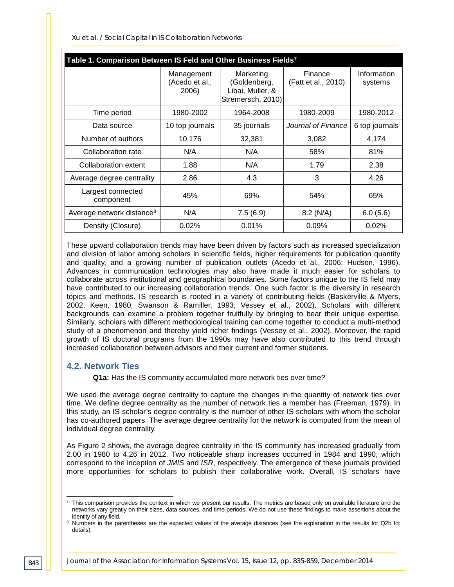*Xu et al. / Social Capital in IS Collaboration Networks*

| Table 1. Comparison Between IS Feld and Other Business Fields <sup>7</sup> |                                       |                                                                    |                                |                        |  |  |  |
|----------------------------------------------------------------------------|---------------------------------------|--------------------------------------------------------------------|--------------------------------|------------------------|--|--|--|
|                                                                            | Management<br>(Acedo et al.,<br>2006) | Marketing<br>(Goldenberg,<br>Libai, Muller, &<br>Stremersch, 2010) | Finance<br>(Fatt et al., 2010) | Information<br>systems |  |  |  |
| Time period                                                                | 1980-2002                             | 1964-2008                                                          | 1980-2009                      | 1980-2012              |  |  |  |
| Data source                                                                | 10 top journals                       | 35 journals                                                        | Journal of Finance             | 6 top journals         |  |  |  |
| Number of authors                                                          | 10,176                                | 32,381                                                             | 3,082                          | 4,174                  |  |  |  |
| Collaboration rate                                                         | N/A                                   | N/A                                                                | 58%                            | 81%                    |  |  |  |
| Collaboration extent                                                       | 1.88                                  | N/A                                                                | 1.79                           | 2.38                   |  |  |  |
| Average degree centrality                                                  | 2.86                                  | 4.3                                                                | 3                              | 4.26                   |  |  |  |
| Largest connected<br>component                                             | 45%                                   | 69%                                                                | 54%                            | 65%                    |  |  |  |
| Average network distance <sup>8</sup>                                      | N/A                                   | 7.5(6.9)                                                           | $8.2$ (N/A)                    | 6.0(5.6)               |  |  |  |
| Density (Closure)                                                          | 0.02%                                 | 0.01%                                                              | 0.09%                          | 0.02%                  |  |  |  |

These upward collaboration trends may have been driven by factors such as increased specialization and division of labor among scholars in scientific fields, higher requirements for publication quantity and quality, and a growing number of publication outlets (Acedo et al., 2006; Hudson, 1996). Advances in communication technologies may also have made it much easier for scholars to collaborate across institutional and geographical boundaries. Some factors unique to the IS field may have contributed to our increasing collaboration trends. One such factor is the diversity in research topics and methods. IS research is rooted in a variety of contributing fields (Baskerville & Myers, 2002; Keen, 1980; Swanson & Ramiller, 1993; Vessey et al., 2002). Scholars with different backgrounds can examine a problem together fruitfully by bringing to bear their unique expertise. Similarly, scholars with different methodological training can come together to conduct a multi-method study of a phenomenon and thereby yield richer findings (Vessey et al., 2002). Moreover, the rapid growth of IS doctoral programs from the 1990s may have also contributed to this trend through increased collaboration between advisors and their current and former students.

#### **4.2. Network Ties**

**Q1a:** Has the IS community accumulated more network ties over time?

We used the average degree centrality to capture the changes in the quantity of network ties over time. We define degree centrality as the number of network ties a member has (Freeman, 1979). In this study, an IS scholar's degree centrality is the number of other IS scholars with whom the scholar has co-authored papers. The average degree centrality for the network is computed from the mean of individual degree centrality.

As Figure 2 shows, the average degree centrality in the IS community has increased gradually from 2.00 in 1980 to 4.26 in 2012. Two noticeable sharp increases occurred in 1984 and 1990, which correspond to the inception of *JMIS* and *ISR*, respectively. The emergence of these journals provided more opportunities for scholars to publish their collaborative work. Overall, IS scholars have

 $^7$  This comparison provides the context in which we present our results. The metrics are based only on available literature and the networks vary greatly on their sizes, data sources, and time periods. We do not use these findings to make assertions about the identity of any field. j

<sup>&</sup>lt;sup>8</sup> Numbers in the parentheses are the expected values of the average distances (see the explanation in the results for Q2b for details).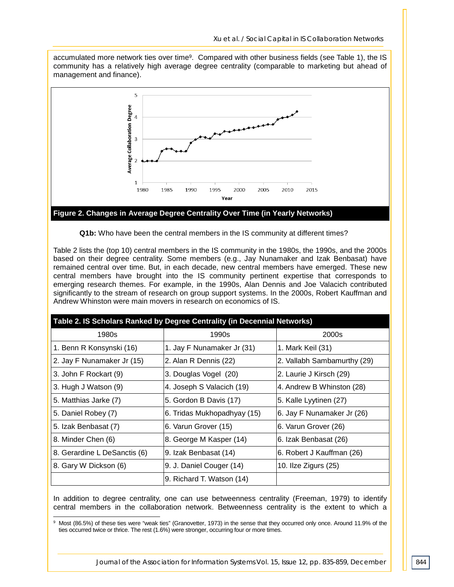accumulated more network ties over time9. Compared with other business fields (see Table 1), the IS community has a relatively high average degree centrality (comparable to marketing but ahead of management and finance).



**Q1b:** Who have been the central members in the IS community at different times?

Table 2 lists the (top 10) central members in the IS community in the 1980s, the 1990s, and the 2000s based on their degree centrality. Some members (e.g., Jay Nunamaker and Izak Benbasat) have remained central over time. But, in each decade, new central members have emerged. These new central members have brought into the IS community pertinent expertise that corresponds to emerging research themes. For example, in the 1990s, Alan Dennis and Joe Valacich contributed significantly to the stream of research on group support systems. In the 2000s, Robert Kauffman and Andrew Whinston were main movers in research on economics of IS.

| Table 2. IS Scholars Ranked by Degree Centrality (in Decennial Networks) |                             |                             |  |  |  |
|--------------------------------------------------------------------------|-----------------------------|-----------------------------|--|--|--|
| 1980s                                                                    | 1990s                       | 2000s                       |  |  |  |
| 1. Benn R Konsynski (16)                                                 | 1. Jay F Nunamaker Jr (31)  | 1. Mark Keil (31)           |  |  |  |
| 2. Jay F Nunamaker Jr (15)                                               | 2. Alan R Dennis (22)       | 2. Vallabh Sambamurthy (29) |  |  |  |
| 3. John F Rockart (9)                                                    | 3. Douglas Vogel (20)       | 2. Laurie J Kirsch (29)     |  |  |  |
| 3. Hugh J Watson (9)                                                     | 4. Joseph S Valacich (19)   | 4. Andrew B Whinston (28)   |  |  |  |
| 5. Matthias Jarke (7)                                                    | 5. Gordon B Davis (17)      | 5. Kalle Lyytinen (27)      |  |  |  |
| 5. Daniel Robey (7)                                                      | 6. Tridas Mukhopadhyay (15) | 6. Jay F Nunamaker Jr (26)  |  |  |  |
| 5. Izak Benbasat (7)                                                     | 6. Varun Grover (15)        | 6. Varun Grover (26)        |  |  |  |
| 8. Minder Chen (6)                                                       | 8. George M Kasper (14)     | 6. Izak Benbasat (26)       |  |  |  |
| 8. Gerardine L DeSanctis (6)                                             | 9. Izak Benbasat (14)       | 6. Robert J Kauffman (26)   |  |  |  |
| 8. Gary W Dickson (6)                                                    | 9. J. Daniel Couger (14)    | 10. Ilze Zigurs $(25)$      |  |  |  |
|                                                                          | 9. Richard T. Watson (14)   |                             |  |  |  |

In addition to degree centrality, one can use betweenness centrality (Freeman, 1979) to identify central members in the collaboration network. Betweenness centrality is the extent to which a

<sup>9</sup> Most (86.5%) of these ties were "weak ties" (Granovetter, 1973) in the sense that they occurred only once. Around 11.9% of the ties occurred twice or thrice. The rest (1.6%) were stronger, occurring four or more times. -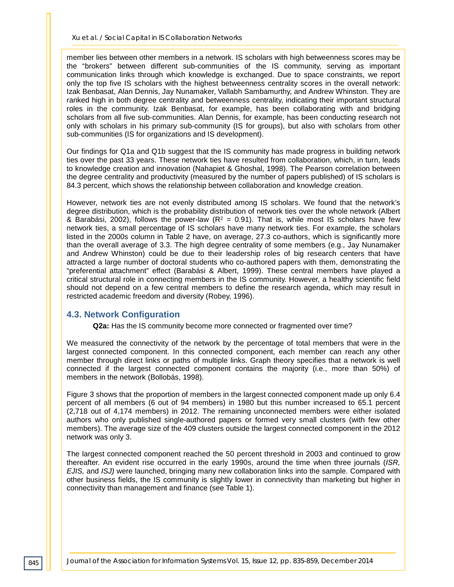member lies between other members in a network. IS scholars with high betweenness scores may be the "brokers" between different sub-communities of the IS community, serving as important communication links through which knowledge is exchanged. Due to space constraints, we report only the top five IS scholars with the highest betweenness centrality scores in the overall network: Izak Benbasat, Alan Dennis, Jay Nunamaker, Vallabh Sambamurthy, and Andrew Whinston. They are ranked high in both degree centrality and betweenness centrality, indicating their important structural roles in the community. Izak Benbasat, for example, has been collaborating with and bridging scholars from all five sub-communities. Alan Dennis, for example, has been conducting research not only with scholars in his primary sub-community (IS for groups), but also with scholars from other sub-communities (IS for organizations and IS development).

Our findings for Q1a and Q1b suggest that the IS community has made progress in building network ties over the past 33 years. These network ties have resulted from collaboration, which, in turn, leads to knowledge creation and innovation (Nahapiet & Ghoshal, 1998). The Pearson correlation between the degree centrality and productivity (measured by the number of papers published) of IS scholars is 84.3 percent, which shows the relationship between collaboration and knowledge creation.

However, network ties are not evenly distributed among IS scholars. We found that the network's degree distribution, which is the probability distribution of network ties over the whole network (Albert & Barabási, 2002), follows the power-law ( $R^2 = 0.91$ ). That is, while most IS scholars have few network ties, a small percentage of IS scholars have many network ties. For example, the scholars listed in the 2000s column in Table 2 have, on average, 27.3 co-authors, which is significantly more than the overall average of 3.3. The high degree centrality of some members (e.g., Jay Nunamaker and Andrew Whinston) could be due to their leadership roles of big research centers that have attracted a large number of doctoral students who co-authored papers with them, demonstrating the "preferential attachment" effect (Barabási & Albert, 1999). These central members have played a critical structural role in connecting members in the IS community. However, a healthy scientific field should not depend on a few central members to define the research agenda, which may result in restricted academic freedom and diversity (Robey, 1996).

#### **4.3. Network Configuration**

**Q2a:** Has the IS community become more connected or fragmented over time?

We measured the connectivity of the network by the percentage of total members that were in the largest connected component. In this connected component, each member can reach any other member through direct links or paths of multiple links. Graph theory specifies that a network is well connected if the largest connected component contains the majority (i.e., more than 50%) of members in the network (Bollobás, 1998).

Figure 3 shows that the proportion of members in the largest connected component made up only 6.4 percent of all members (6 out of 94 members) in 1980 but this number increased to 65.1 percent (2,718 out of 4,174 members) in 2012. The remaining unconnected members were either isolated authors who only published single-authored papers or formed very small clusters (with few other members). The average size of the 409 clusters outside the largest connected component in the 2012 network was only 3.

The largest connected component reached the 50 percent threshold in 2003 and continued to grow thereafter. An evident rise occurred in the early 1990s, around the time when three journals (*ISR, EJIS,* and *ISJ)* were launched, bringing many new collaboration links into the sample. Compared with other business fields, the IS community is slightly lower in connectivity than marketing but higher in connectivity than management and finance (see Table 1).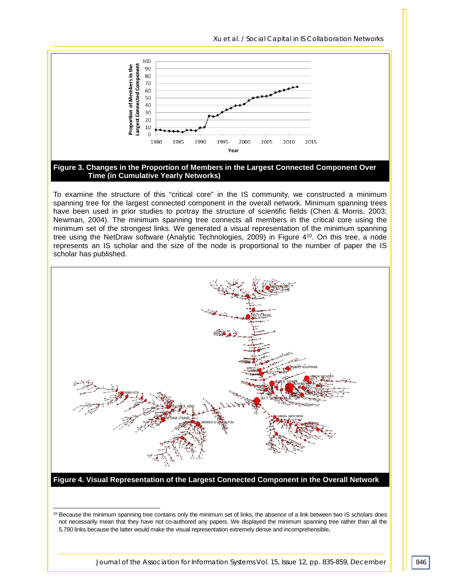100 Largest Connected Component of Members in the 90 80 70 60 50 40 Proportion 30 20 10  $\Omega$ 2000 2005 2010 2015 1980 1985 1990 1995 Year **Figure 3. Changes in the Proportion of Members in the Largest Connected Component Over** 

*Xu et al. / Social Capital in IS Collaboration Networks*

**Time (in Cumulative Yearly Networks)**

To examine the structure of this "critical core" in the IS community, we constructed a minimum spanning tree for the largest connected component in the overall network. Minimum spanning trees have been used in prior studies to portray the structure of scientific fields (Chen & Morris, 2003; Newman, 2004). The minimum spanning tree connects all members in the critical core using the minimum set of the strongest links. We generated a visual representation of the minimum spanning tree using the NetDraw software (Analytic Technologies, 2009) in Figure 410. On this tree, a node represents an IS scholar and the size of the node is proportional to the number of paper the IS scholar has published.



**Figure 4. Visual Representation of the Largest Connected Component in the Overall Network**

j

<sup>&</sup>lt;sup>10</sup> Because the minimum spanning tree contains only the minimum set of links, the absence of a link between two IS scholars does not necessarily mean that they have not co-authored any papers. We displayed the minimum spanning tree rather than all the 5,790 links because the latter would make the visual representation extremely dense and incomprehensible.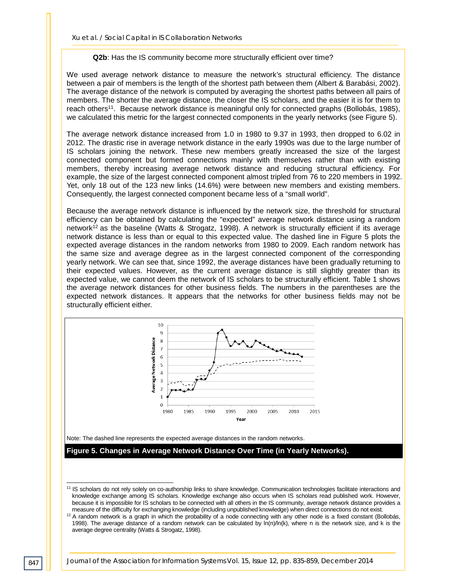#### **Q2b**: Has the IS community become more structurally efficient over time?

We used average network distance to measure the network's structural efficiency. The distance between a pair of members is the length of the shortest path between them (Albert & Barabási, 2002). The average distance of the network is computed by averaging the shortest paths between all pairs of members. The shorter the average distance, the closer the IS scholars, and the easier it is for them to reach others<sup>11</sup>. Because network distance is meaningful only for connected graphs (Bollobás, 1985), we calculated this metric for the largest connected components in the yearly networks (see Figure 5).

The average network distance increased from 1.0 in 1980 to 9.37 in 1993, then dropped to 6.02 in 2012. The drastic rise in average network distance in the early 1990s was due to the large number of IS scholars joining the network. These new members greatly increased the size of the largest connected component but formed connections mainly with themselves rather than with existing members, thereby increasing average network distance and reducing structural efficiency. For example, the size of the largest connected component almost tripled from 76 to 220 members in 1992. Yet, only 18 out of the 123 new links (14.6%) were between new members and existing members. Consequently, the largest connected component became less of a "small world".

Because the average network distance is influenced by the network size, the threshold for structural efficiency can be obtained by calculating the "expected" average network distance using a random network<sup>12</sup> as the baseline (Watts & Strogatz, 1998). A network is structurally efficient if its average network distance is less than or equal to this expected value. The dashed line in Figure 5 plots the expected average distances in the random networks from 1980 to 2009. Each random network has the same size and average degree as in the largest connected component of the corresponding yearly network. We can see that, since 1992, the average distances have been gradually returning to their expected values. However, as the current average distance is still slightly greater than its expected value, we cannot deem the network of IS scholars to be structurally efficient. Table 1 shows the average network distances for other business fields. The numbers in the parentheses are the expected network distances. It appears that the networks for other business fields may not be structurally efficient either.



Note: The dashed line represents the expected average distances in the random networks.

**Figure 5. Changes in Average Network Distance Over Time (in Yearly Networks).** 

j

<sup>11</sup> IS scholars do not rely solely on co-authorship links to share knowledge. Communication technologies facilitate interactions and knowledge exchange among IS scholars. Knowledge exchange also occurs when IS scholars read published work. However, because it is impossible for IS scholars to be connected with all others in the IS community, average network distance provides a measure of the difficulty for exchanging knowledge (including unpublished knowledge) when direct connections do not exist.

<sup>&</sup>lt;sup>12</sup> A random network is a graph in which the probability of a node connecting with any other node is a fixed constant (Bollobás, 1998). The average distance of a random network can be calculated by ln(n)/ln(k), where n is the network size, and k is the average degree centrality (Watts & Strogatz, 1998).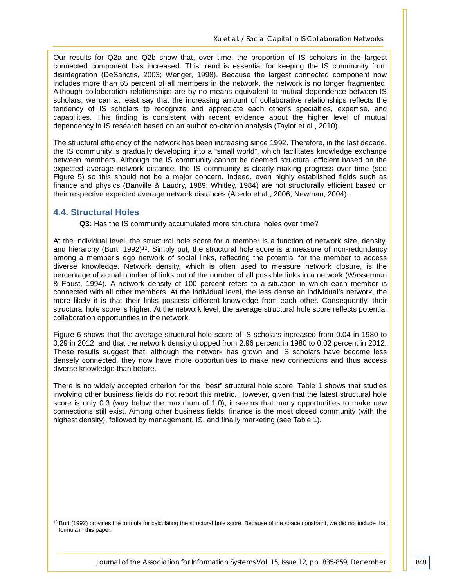Our results for Q2a and Q2b show that, over time, the proportion of IS scholars in the largest connected component has increased. This trend is essential for keeping the IS community from disintegration (DeSanctis, 2003; Wenger, 1998). Because the largest connected component now includes more than 65 percent of all members in the network, the network is no longer fragmented. Although collaboration relationships are by no means equivalent to mutual dependence between IS scholars, we can at least say that the increasing amount of collaborative relationships reflects the tendency of IS scholars to recognize and appreciate each other's specialties, expertise, and capabilities. This finding is consistent with recent evidence about the higher level of mutual dependency in IS research based on an author co-citation analysis (Taylor et al., 2010).

The structural efficiency of the network has been increasing since 1992. Therefore, in the last decade, the IS community is gradually developing into a "small world", which facilitates knowledge exchange between members. Although the IS community cannot be deemed structural efficient based on the expected average network distance, the IS community is clearly making progress over time (see Figure 5) so this should not be a major concern. Indeed, even highly established fields such as finance and physics (Banville & Laudry, 1989; Whitley, 1984) are not structurally efficient based on their respective expected average network distances (Acedo et al., 2006; Newman, 2004).

#### **4.4. Structural Holes**

**Q3:** Has the IS community accumulated more structural holes over time?

At the individual level, the structural hole score for a member is a function of network size, density, and hierarchy (Burt, 1992)<sup>13</sup>. Simply put, the structural hole score is a measure of non-redundancy among a member's ego network of social links, reflecting the potential for the member to access diverse knowledge. Network density, which is often used to measure network closure, is the percentage of actual number of links out of the number of all possible links in a network (Wasserman & Faust, 1994). A network density of 100 percent refers to a situation in which each member is connected with all other members. At the individual level, the less dense an individual's network, the more likely it is that their links possess different knowledge from each other. Consequently, their structural hole score is higher. At the network level, the average structural hole score reflects potential collaboration opportunities in the network.

Figure 6 shows that the average structural hole score of IS scholars increased from 0.04 in 1980 to 0.29 in 2012, and that the network density dropped from 2.96 percent in 1980 to 0.02 percent in 2012. These results suggest that, although the network has grown and IS scholars have become less densely connected, they now have more opportunities to make new connections and thus access diverse knowledge than before.

There is no widely accepted criterion for the "best" structural hole score. Table 1 shows that studies involving other business fields do not report this metric. However, given that the latest structural hole score is only 0.3 (way below the maximum of 1.0), it seems that many opportunities to make new connections still exist. Among other business fields, finance is the most closed community (with the highest density), followed by management, IS, and finally marketing (see Table 1).

<sup>&</sup>lt;sup>13</sup> Burt (1992) provides the formula for calculating the structural hole score. Because of the space constraint, we did not include that formula in this paper. -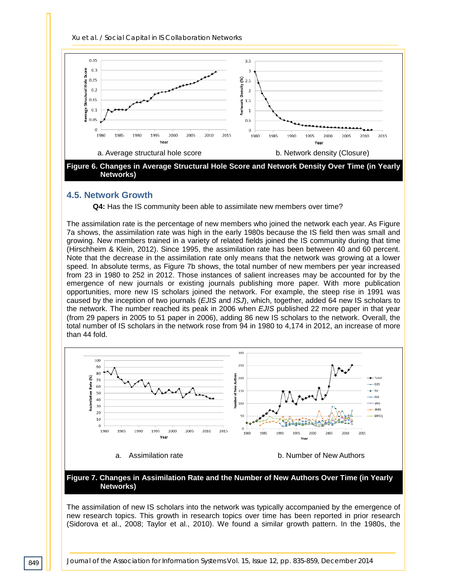*Xu et al. / Social Capital in IS Collaboration Networks*



#### **4.5. Network Growth**

**Q4:** Has the IS community been able to assimilate new members over time?

The assimilation rate is the percentage of new members who joined the network each year. As Figure 7a shows, the assimilation rate was high in the early 1980s because the IS field then was small and growing. New members trained in a variety of related fields joined the IS community during that time (Hirschheim & Klein, 2012). Since 1995, the assimilation rate has been between 40 and 60 percent. Note that the decrease in the assimilation rate only means that the network was growing at a lower speed. In absolute terms, as Figure 7b shows, the total number of new members per year increased from 23 in 1980 to 252 in 2012. Those instances of salient increases may be accounted for by the emergence of new journals or existing journals publishing more paper. With more publication opportunities, more new IS scholars joined the network. For example, the steep rise in 1991 was caused by the inception of two journals (*EJIS* and *ISJ*), which, together, added 64 new IS scholars to the network. The number reached its peak in 2006 when *EJIS* published 22 more paper in that year (from 29 papers in 2005 to 51 paper in 2006), adding 86 new IS scholars to the network. Overall, the total number of IS scholars in the network rose from 94 in 1980 to 4,174 in 2012, an increase of more than 44 fold.



The assimilation of new IS scholars into the network was typically accompanied by the emergence of new research topics. This growth in research topics over time has been reported in prior research (Sidorova et al., 2008; Taylor et al., 2010). We found a similar growth pattern. In the 1980s, the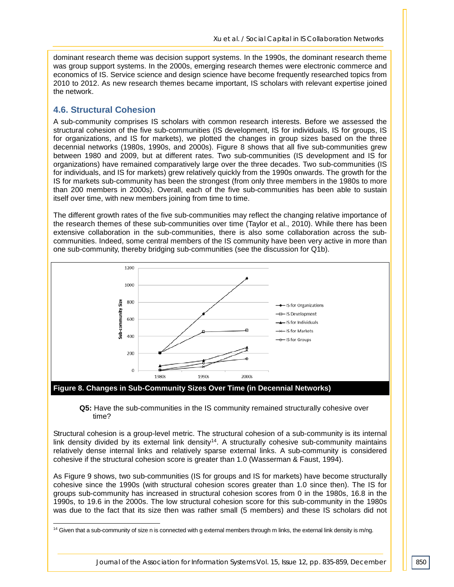dominant research theme was decision support systems. In the 1990s, the dominant research theme was group support systems. In the 2000s, emerging research themes were electronic commerce and economics of IS. Service science and design science have become frequently researched topics from 2010 to 2012. As new research themes became important, IS scholars with relevant expertise joined the network.

#### **4.6. Structural Cohesion**

A sub-community comprises IS scholars with common research interests. Before we assessed the structural cohesion of the five sub-communities (IS development, IS for individuals, IS for groups, IS for organizations, and IS for markets), we plotted the changes in group sizes based on the three decennial networks (1980s, 1990s, and 2000s). Figure 8 shows that all five sub-communities grew between 1980 and 2009, but at different rates. Two sub-communities (IS development and IS for organizations) have remained comparatively large over the three decades. Two sub-communities (IS for individuals, and IS for markets) grew relatively quickly from the 1990s onwards. The growth for the IS for markets sub-community has been the strongest (from only three members in the 1980s to more than 200 members in 2000s). Overall, each of the five sub-communities has been able to sustain itself over time, with new members joining from time to time.

The different growth rates of the five sub-communities may reflect the changing relative importance of the research themes of these sub-communities over time (Taylor et al., 2010). While there has been extensive collaboration in the sub-communities, there is also some collaboration across the subcommunities. Indeed, some central members of the IS community have been very active in more than one sub-community, thereby bridging sub-communities (see the discussion for Q1b).



**Figure 8. Changes in Sub-Community Sizes Over Time (in Decennial Networks)**

**Q5:** Have the sub-communities in the IS community remained structurally cohesive over time?

Structural cohesion is a group-level metric. The structural cohesion of a sub-community is its internal link density divided by its external link density<sup>14</sup>. A structurally cohesive sub-community maintains relatively dense internal links and relatively sparse external links. A sub-community is considered cohesive if the structural cohesion score is greater than 1.0 (Wasserman & Faust, 1994).

As Figure 9 shows, two sub-communities (IS for groups and IS for markets) have become structurally cohesive since the 1990s (with structural cohesion scores greater than 1.0 since then). The IS for groups sub-community has increased in structural cohesion scores from 0 in the 1980s, 16.8 in the 1990s, to 19.6 in the 2000s. The low structural cohesion score for this sub-community in the 1980s was due to the fact that its size then was rather small (5 members) and these IS scholars did not

 $^{14}$  Given that a sub-community of size n is connected with g external members through m links, the external link density is m/ng. -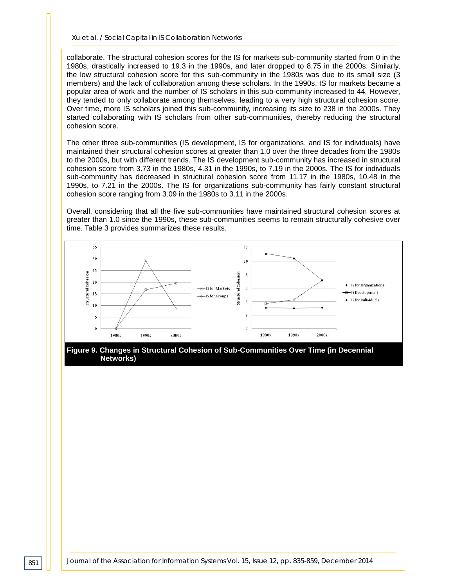collaborate. The structural cohesion scores for the IS for markets sub-community started from 0 in the 1980s, drastically increased to 19.3 in the 1990s, and later dropped to 8.75 in the 2000s. Similarly, the low structural cohesion score for this sub-community in the 1980s was due to its small size (3 members) and the lack of collaboration among these scholars. In the 1990s, IS for markets became a popular area of work and the number of IS scholars in this sub-community increased to 44. However, they tended to only collaborate among themselves, leading to a very high structural cohesion score. Over time, more IS scholars joined this sub-community, increasing its size to 238 in the 2000s. They started collaborating with IS scholars from other sub-communities, thereby reducing the structural cohesion score.

The other three sub-communities (IS development, IS for organizations, and IS for individuals) have maintained their structural cohesion scores at greater than 1.0 over the three decades from the 1980s to the 2000s, but with different trends. The IS development sub-community has increased in structural cohesion score from 3.73 in the 1980s, 4.31 in the 1990s, to 7.19 in the 2000s. The IS for individuals sub-community has decreased in structural cohesion score from 11.17 in the 1980s, 10.48 in the 1990s, to 7.21 in the 2000s. The IS for organizations sub-community has fairly constant structural cohesion score ranging from 3.09 in the 1980s to 3.11 in the 2000s.

Overall, considering that all the five sub-communities have maintained structural cohesion scores at greater than 1.0 since the 1990s, these sub-communities seems to remain structurally cohesive over time. Table 3 provides summarizes these results.



**Figure 9. Changes in Structural Cohesion of Sub-Communities Over Time (in Decennial Networks)**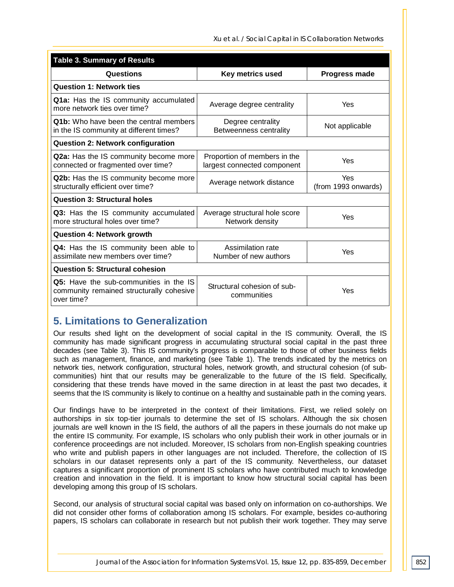*Xu et al. / Social Capital in IS Collaboration Networks*

| <b>Table 3. Summary of Results</b>                                                                                                         |                                                  |                            |  |  |  |
|--------------------------------------------------------------------------------------------------------------------------------------------|--------------------------------------------------|----------------------------|--|--|--|
| Questions                                                                                                                                  | Key metrics used                                 | <b>Progress made</b>       |  |  |  |
| <b>Question 1: Network ties</b>                                                                                                            |                                                  |                            |  |  |  |
| Q1a: Has the IS community accumulated<br>more network ties over time?                                                                      | Average degree centrality                        | Yes                        |  |  |  |
| <b>Q1b:</b> Who have been the central members<br>in the IS community at different times?                                                   | Degree centrality<br>Betweenness centrality      | Not applicable             |  |  |  |
| <b>Question 2: Network configuration</b>                                                                                                   |                                                  |                            |  |  |  |
| Q2a: Has the IS community become more<br>Proportion of members in the<br>connected or fragmented over time?<br>largest connected component |                                                  | Yes                        |  |  |  |
| Q2b: Has the IS community become more<br>structurally efficient over time?                                                                 | Average network distance                         | Yes<br>(from 1993 onwards) |  |  |  |
| <b>Question 3: Structural holes</b>                                                                                                        |                                                  |                            |  |  |  |
| Q3: Has the IS community accumulated<br>more structural holes over time?                                                                   | Average structural hole score<br>Network density | Yes                        |  |  |  |
| <b>Question 4: Network growth</b>                                                                                                          |                                                  |                            |  |  |  |
| Q4: Has the IS community been able to<br>assimilate new members over time?                                                                 | Assimilation rate<br>Number of new authors       | Yes                        |  |  |  |
| <b>Question 5: Structural cohesion</b>                                                                                                     |                                                  |                            |  |  |  |
| Q5: Have the sub-communities in the IS<br>community remained structurally cohesive<br>over time?                                           | Structural cohesion of sub-<br>communities       | Yes                        |  |  |  |

# **5. Limitations to Generalization**

Our results shed light on the development of social capital in the IS community. Overall, the IS community has made significant progress in accumulating structural social capital in the past three decades (see Table 3). This IS community's progress is comparable to those of other business fields such as management, finance, and marketing (see Table 1). The trends indicated by the metrics on network ties, network configuration, structural holes, network growth, and structural cohesion (of subcommunities) hint that our results may be generalizable to the future of the IS field. Specifically, considering that these trends have moved in the same direction in at least the past two decades, it seems that the IS community is likely to continue on a healthy and sustainable path in the coming years.

Our findings have to be interpreted in the context of their limitations. First, we relied solely on authorships in six top-tier journals to determine the set of IS scholars. Although the six chosen journals are well known in the IS field, the authors of all the papers in these journals do not make up the entire IS community. For example, IS scholars who only publish their work in other journals or in conference proceedings are not included. Moreover, IS scholars from non-English speaking countries who write and publish papers in other languages are not included. Therefore, the collection of IS scholars in our dataset represents only a part of the IS community. Nevertheless, our dataset captures a significant proportion of prominent IS scholars who have contributed much to knowledge creation and innovation in the field. It is important to know how structural social capital has been developing among this group of IS scholars.

Second, our analysis of structural social capital was based only on information on co-authorships. We did not consider other forms of collaboration among IS scholars. For example, besides co-authoring papers, IS scholars can collaborate in research but not publish their work together. They may serve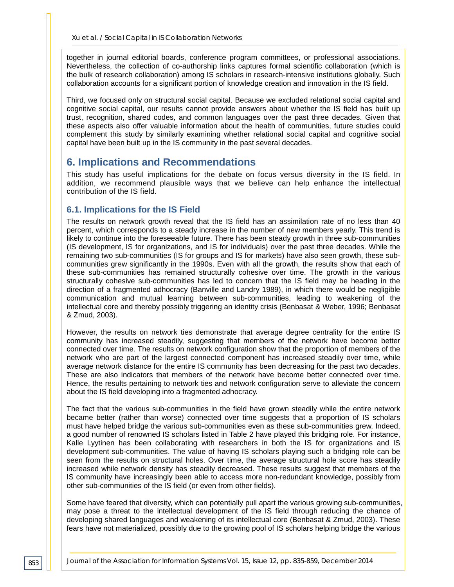together in journal editorial boards, conference program committees, or professional associations. Nevertheless, the collection of co-authorship links captures formal scientific collaboration (which is the bulk of research collaboration) among IS scholars in research-intensive institutions globally. Such collaboration accounts for a significant portion of knowledge creation and innovation in the IS field.

Third, we focused only on structural social capital. Because we excluded relational social capital and cognitive social capital, our results cannot provide answers about whether the IS field has built up trust, recognition, shared codes, and common languages over the past three decades. Given that these aspects also offer valuable information about the health of communities, future studies could complement this study by similarly examining whether relational social capital and cognitive social capital have been built up in the IS community in the past several decades.

### **6. Implications and Recommendations**

This study has useful implications for the debate on focus versus diversity in the IS field. In addition, we recommend plausible ways that we believe can help enhance the intellectual contribution of the IS field.

#### **6.1. Implications for the IS Field**

The results on network growth reveal that the IS field has an assimilation rate of no less than 40 percent, which corresponds to a steady increase in the number of new members yearly. This trend is likely to continue into the foreseeable future. There has been steady growth in three sub-communities (IS development, IS for organizations, and IS for individuals) over the past three decades. While the remaining two sub-communities (IS for groups and IS for markets) have also seen growth, these subcommunities grew significantly in the 1990s. Even with all the growth, the results show that each of these sub-communities has remained structurally cohesive over time. The growth in the various structurally cohesive sub-communities has led to concern that the IS field may be heading in the direction of a fragmented adhocracy (Banville and Landry 1989), in which there would be negligible communication and mutual learning between sub-communities, leading to weakening of the intellectual core and thereby possibly triggering an identity crisis (Benbasat & Weber, 1996; Benbasat & Zmud, 2003).

However, the results on network ties demonstrate that average degree centrality for the entire IS community has increased steadily, suggesting that members of the network have become better connected over time. The results on network configuration show that the proportion of members of the network who are part of the largest connected component has increased steadily over time, while average network distance for the entire IS community has been decreasing for the past two decades. These are also indicators that members of the network have become better connected over time. Hence, the results pertaining to network ties and network configuration serve to alleviate the concern about the IS field developing into a fragmented adhocracy.

The fact that the various sub-communities in the field have grown steadily while the entire network became better (rather than worse) connected over time suggests that a proportion of IS scholars must have helped bridge the various sub-communities even as these sub-communities grew. Indeed, a good number of renowned IS scholars listed in Table 2 have played this bridging role. For instance, Kalle Lyytinen has been collaborating with researchers in both the IS for organizations and IS development sub-communities. The value of having IS scholars playing such a bridging role can be seen from the results on structural holes. Over time, the average structural hole score has steadily increased while network density has steadily decreased. These results suggest that members of the IS community have increasingly been able to access more non-redundant knowledge, possibly from other sub-communities of the IS field (or even from other fields).

Some have feared that diversity, which can potentially pull apart the various growing sub-communities, may pose a threat to the intellectual development of the IS field through reducing the chance of developing shared languages and weakening of its intellectual core (Benbasat & Zmud, 2003). These fears have not materialized, possibly due to the growing pool of IS scholars helping bridge the various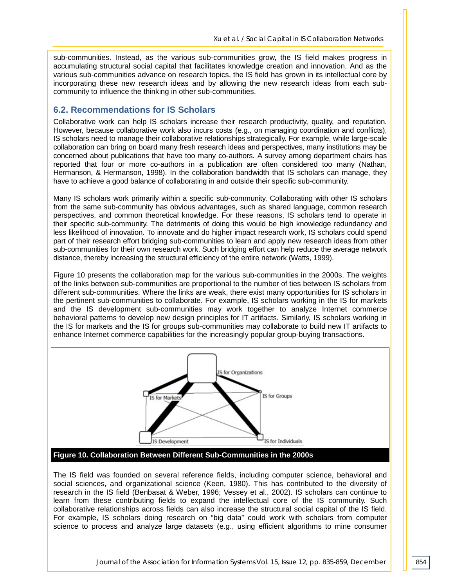sub-communities. Instead, as the various sub-communities grow, the IS field makes progress in accumulating structural social capital that facilitates knowledge creation and innovation. And as the various sub-communities advance on research topics, the IS field has grown in its intellectual core by incorporating these new research ideas and by allowing the new research ideas from each subcommunity to influence the thinking in other sub-communities.

#### **6.2. Recommendations for IS Scholars**

Collaborative work can help IS scholars increase their research productivity, quality, and reputation. However, because collaborative work also incurs costs (e.g., on managing coordination and conflicts), IS scholars need to manage their collaborative relationships strategically. For example, while large-scale collaboration can bring on board many fresh research ideas and perspectives, many institutions may be concerned about publications that have too many co-authors. A survey among department chairs has reported that four or more co-authors in a publication are often considered too many (Nathan, Hermanson, & Hermanson, 1998). In the collaboration bandwidth that IS scholars can manage, they have to achieve a good balance of collaborating in and outside their specific sub-community.

Many IS scholars work primarily within a specific sub-community. Collaborating with other IS scholars from the same sub-community has obvious advantages, such as shared language, common research perspectives, and common theoretical knowledge. For these reasons, IS scholars tend to operate in their specific sub-community. The detriments of doing this would be high knowledge redundancy and less likelihood of innovation. To innovate and do higher impact research work, IS scholars could spend part of their research effort bridging sub-communities to learn and apply new research ideas from other sub-communities for their own research work. Such bridging effort can help reduce the average network distance, thereby increasing the structural efficiency of the entire network (Watts, 1999).

Figure 10 presents the collaboration map for the various sub-communities in the 2000s. The weights of the links between sub-communities are proportional to the number of ties between IS scholars from different sub-communities. Where the links are weak, there exist many opportunities for IS scholars in the pertinent sub-communities to collaborate. For example, IS scholars working in the IS for markets and the IS development sub-communities may work together to analyze Internet commerce behavioral patterns to develop new design principles for IT artifacts. Similarly, IS scholars working in the IS for markets and the IS for groups sub-communities may collaborate to build new IT artifacts to enhance Internet commerce capabilities for the increasingly popular group-buying transactions.



**Figure 10. Collaboration Between Different Sub-Communities in the 2000s**

The IS field was founded on several reference fields, including computer science, behavioral and social sciences, and organizational science (Keen, 1980). This has contributed to the diversity of research in the IS field (Benbasat & Weber, 1996; Vessey et al., 2002). IS scholars can continue to learn from these contributing fields to expand the intellectual core of the IS community. Such collaborative relationships across fields can also increase the structural social capital of the IS field. For example, IS scholars doing research on "big data" could work with scholars from computer science to process and analyze large datasets (e.g., using efficient algorithms to mine consumer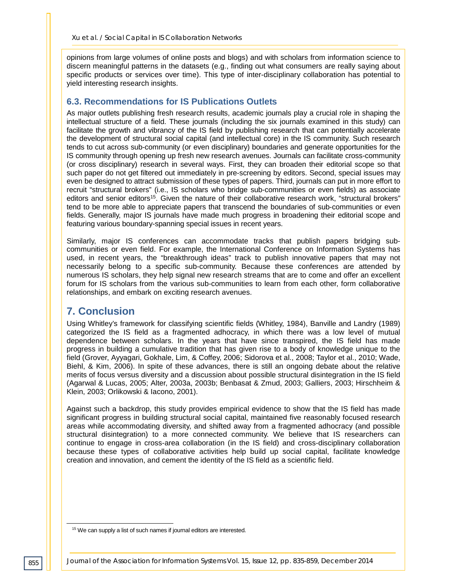opinions from large volumes of online posts and blogs) and with scholars from information science to discern meaningful patterns in the datasets (e.g., finding out what consumers are really saying about specific products or services over time). This type of inter-disciplinary collaboration has potential to yield interesting research insights.

#### **6.3. Recommendations for IS Publications Outlets**

As major outlets publishing fresh research results, academic journals play a crucial role in shaping the intellectual structure of a field. These journals (including the six journals examined in this study) can facilitate the growth and vibrancy of the IS field by publishing research that can potentially accelerate the development of structural social capital (and intellectual core) in the IS community. Such research tends to cut across sub-community (or even disciplinary) boundaries and generate opportunities for the IS community through opening up fresh new research avenues. Journals can facilitate cross-community (or cross disciplinary) research in several ways. First, they can broaden their editorial scope so that such paper do not get filtered out immediately in pre-screening by editors. Second, special issues may even be designed to attract submission of these types of papers. Third, journals can put in more effort to recruit "structural brokers" (i.e., IS scholars who bridge sub-communities or even fields) as associate editors and senior editors<sup>15</sup>. Given the nature of their collaborative research work, "structural brokers" tend to be more able to appreciate papers that transcend the boundaries of sub-communities or even fields. Generally, major IS journals have made much progress in broadening their editorial scope and featuring various boundary-spanning special issues in recent years.

Similarly, major IS conferences can accommodate tracks that publish papers bridging subcommunities or even field. For example, the International Conference on Information Systems has used, in recent years, the "breakthrough ideas" track to publish innovative papers that may not necessarily belong to a specific sub-community. Because these conferences are attended by numerous IS scholars, they help signal new research streams that are to come and offer an excellent forum for IS scholars from the various sub-communities to learn from each other, form collaborative relationships, and embark on exciting research avenues.

# **7. Conclusion**

Using Whitley's framework for classifying scientific fields (Whitley, 1984), Banville and Landry (1989) categorized the IS field as a fragmented adhocracy, in which there was a low level of mutual dependence between scholars. In the years that have since transpired, the IS field has made progress in building a cumulative tradition that has given rise to a body of knowledge unique to the field (Grover, Ayyagari, Gokhale, Lim, & Coffey, 2006; Sidorova et al., 2008; Taylor et al., 2010; Wade, Biehl, & Kim, 2006). In spite of these advances, there is still an ongoing debate about the relative merits of focus versus diversity and a discussion about possible structural disintegration in the IS field (Agarwal & Lucas, 2005; Alter, 2003a, 2003b; Benbasat & Zmud, 2003; Galliers, 2003; Hirschheim & Klein, 2003; Orlikowski & Iacono, 2001).

Against such a backdrop, this study provides empirical evidence to show that the IS field has made significant progress in building structural social capital, maintained five reasonably focused research areas while accommodating diversity, and shifted away from a fragmented adhocracy (and possible structural disintegration) to a more connected community. We believe that IS researchers can continue to engage in cross-area collaboration (in the IS field) and cross-disciplinary collaboration because these types of collaborative activities help build up social capital, facilitate knowledge creation and innovation, and cement the identity of the IS field as a scientific field.

-

<sup>&</sup>lt;sup>15</sup> We can supply a list of such names if journal editors are interested.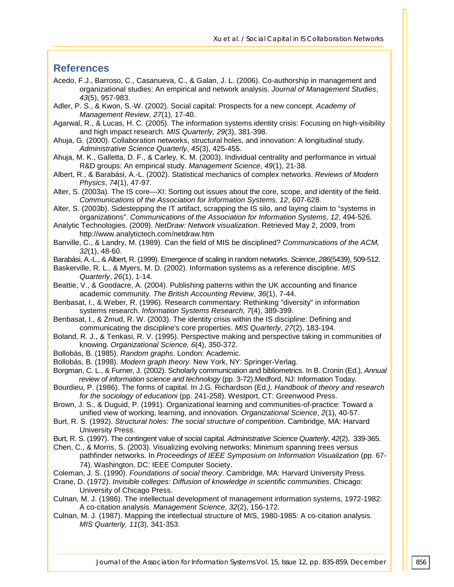### **References**

- Acedo, F.J., Barroso, C., Casanueva, C., & Galan, J. L. (2006). Co-authorship in management and organizational studies: An empirical and network analysis. *Journal of Management Studies*, *43*(5), 957-983.
- Adler, P. S., & Kwon, S.-W. (2002). Social capital: Prospects for a new concept. *Academy of Management Review*, *27*(1), 17-40.
- Agarwal, R., & Lucas, H. C. (2005). The information systems identity crisis: Focusing on high-visibility and high impact research. *MIS Quarterly, 29*(3), 381-398.
- Ahuja, G. (2000). Collaboration networks, structural holes, and innovation: A longitudinal study. *Administrative Science Quarterly*, *45*(3), 425-455.
- Ahuja, M. K., Galletta, D. F., & Carley, K. M. (2003). Individual centrality and performance in virtual R&D groups: An empirical study. *Management Science*, *49*(1), 21-38.
- Albert, R., & Barabási, A.-L. (2002). Statistical mechanics of complex networks. *Reviews of Modern Physics*, *74*(1), 47-97.
- Alter, S. (2003a). The IS core—XI: Sorting out issues about the core, scope, and identity of the field. *Communications of the Association for Information Systems, 12*, 607-628.
- Alter, S. (2003b). Sidestepping the IT artifact, scrapping the IS silo, and laying claim to "systems in organizations". *Communications of the Association for Information Systems, 12*, 494-526.
- Analytic Technologies. (2009). *NetDraw: Network visualization*. Retrieved May 2, 2009, from http://www.analytictech.com/netdraw.htm
- Banville, C., & Landry, M. (1989). Can the field of MIS be disciplined? *Communications of the ACM, 32*(1), 48-60.
- Barabási, A.-L., & Albert, R. (1999). Emergence of scaling in random networks. *Science*, *286*(5439), 509-512.
- Baskerville, R. L., & Myers, M. D. (2002). Information systems as a reference discipline. *MIS Quarterly*, *26*(1), 1-14.
- Beattie, V., & Goodacre, A. (2004). Publishing patterns within the UK accounting and finance academic community. *The British Accounting Review*, *36*(1), 7-44.
- Benbasat, I., & Weber, R. (1996). Research commentary: Rethinking "diversity" in information systems research. *Information Systems Research, 7*(4), 389-399.
- Benbasat, I., & Zmud, R. W. (2003). The identity crisis within the IS discipline: Defining and communicating the discipline's core properties. *MIS Quarterly*, *27*(2), 183-194.
- Boland, R. J., & Tenkasi, R. V. (1995). Perspective making and perspective taking in communities of knowing. *Organizational Science, 6*(4), 350-372.
- Bollobás, B. (1985). *Random graphs*. London: Academic.
- Bollobás, B. (1998). *Modern graph theory*. New York, NY: Springer-Verlag.
- Borgman, C. L., & Furner, J. (2002). Scholarly communication and bibliometrics. In B. Cronin (Ed.), *Annual review of information science and technology* (pp. 3-72).Medford, NJ: Information Today.
- Bourdieu, P. (1986). The forms of capital. In J.G. Richardson (Ed*.), Handbook of theory and research for the sociology of educationi* (pp. 241-258). Westport, CT: Greenwood Press.
- Brown, J. S., & Duguid, P. (1991). Organizational learning and communities-of-practice: Toward a unified view of working, learning, and innovation. *Organizational Science*, *2*(1), 40-57.
- Burt, R. S. (1992). *Structural holes: The social structure of competition*. Cambridge, MA: Harvard University Press.
- Burt, R. S. (1997). The contingent value of social capital. *Administrative Science Quarterly*, *42*(2), 339-365.
- Chen, C., & Morris, S. (2003). Visualizing evolving networks: Minimum spanning trees versus pathfinder networks. In *Proceedings of IEEE Symposium on Information Visualization* (pp. 67- 74). Washington, DC: IEEE Computer Society.
- Coleman, J. S. (1990). *Foundations of social theory*. Cambridge, MA: Harvard University Press.
- Crane, D. (1972). *Invisible colleges: Diffusion of knowledge in scientific communities*. Chicago: University of Chicago Press.
- Culnan, M. J. (1986). The intellectual development of management information systems, 1972-1982: A co-citation analysis. *Management Science*, *32*(2), 156-172.
- Culnan, M. J. (1987). Mapping the intellectual structure of MIS, 1980-1985: A co-citation analysis. *MIS Quarterly, 11*(3), 341-353.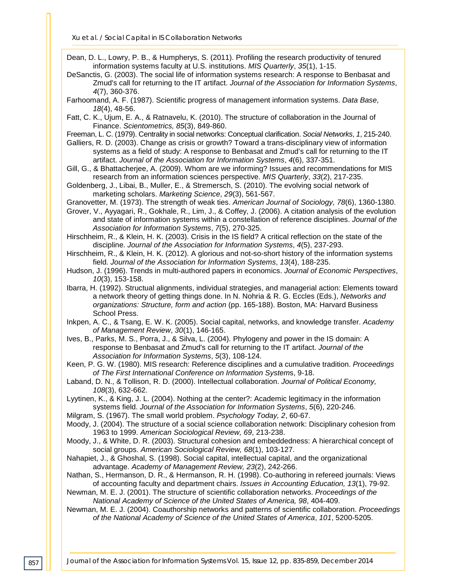*Xu et al. / Social Capital in IS Collaboration Networks*

Dean, D. L., Lowry, P. B., & Humpherys, S. (2011). Profiling the research productivity of tenured information systems faculty at U.S. institutions. *MIS Quarterly*, *35*(1), 1-15.

DeSanctis, G. (2003). The social life of information systems research: A response to Benbasat and Zmud's call for returning to the IT artifact. *Journal of the Association for Information Systems*, *4*(7), 360-376.

Farhoomand, A. F. (1987). Scientific progress of management information systems. *Data Base*, *18*(4), 48-56.

Fatt, C. K., Ujum, E. A., & Ratnavelu, K. (2010). The structure of collaboration in the Journal of Finance. *Scientometrics, 85*(3), 849-860.

Freeman, L. C. (1979). Centrality in social networks: Conceptual clarification. *Social Networks*, *1*, 215-240.

Galliers, R. D. (2003). Change as crisis or growth? Toward a trans-disciplinary view of information systems as a field of study: A response to Benbasat and Zmud's call for returning to the IT artifact. *Journal of the Association for Information Systems*, *4*(6), 337-351.

- Gill, G., & Bhattacherjee, A. (2009). Whom are we informing? Issues and recommendations for MIS research from an information sciences perspective. *MIS Quarterly*, *33*(2), 217-235.
- Goldenberg, J., Libai, B., Muller, E., & Stremersch, S. (2010). The evolving social network of marketing scholars. *Marketing Science*, *29*(3), 561-567.

Granovetter, M. (1973). The strength of weak ties. *American Journal of Sociology, 78*(6), 1360-1380.

Grover, V., Ayyagari, R., Gokhale, R., Lim, J., & Coffey, J. (2006). A citation analysis of the evolution and state of information systems within a constellation of reference disciplines. *Journal of the Association for Information Systems*, *7*(5), 270-325.

Hirschheim, R., & Klein, H. K. (2003). Crisis in the IS field? A critical reflection on the state of the discipline. *Journal of the Association for Information Systems*, *4*(5), 237-293.

Hirschheim, R., & Klein, H. K. (2012). A glorious and not-so-short history of the information systems field. *Journal of the Association for Information Systems*, *13*(4), 188-235.

Hudson, J. (1996). Trends in multi-authored papers in economics. *Journal of Economic Perspectives*, *10*(3), 153-158.

Ibarra, H. (1992). Structual alignments, individual strategies, and managerial action: Elements toward a network theory of getting things done. In N. Nohria & R. G. Eccles (Eds.), *Networks and organizations: Structure, form and action* (pp. 165-188). Boston, MA: Harvard Business School Press.

Inkpen, A. C., & Tsang, E. W. K. (2005). Social capital, networks, and knowledge transfer. *Academy of Management Review*, *30*(1), 146-165.

Ives, B., Parks, M. S., Porra, J., & Silva, L. (2004). Phylogeny and power in the IS domain: A response to Benbasat and Zmud's call for returning to the IT artifact. *Journal of the Association for Information Systems*, *5*(3), 108-124.

Keen, P. G. W. (1980). MIS research: Reference disciplines and a cumulative tradition. *Proceedings of The First International Conference on Information System*s, 9-18.

Laband, D. N., & Tollison, R. D. (2000). Intellectual collaboration. *Journal of Political Economy, 108*(3), 632-662.

Lyytinen, K., & King, J. L. (2004). Nothing at the center?: Academic legitimacy in the information systems field. *Journal of the Association for Information Systems*, *5*(6), 220-246.

Milgram, S. (1967). The small world problem. *Psychology Today, 2*, 60-67.

Moody, J. (2004). The structure of a social science collaboration network: Disciplinary cohesion from 1963 to 1999. *American Sociological Review, 69*, 213-238.

Moody, J., & White, D. R. (2003). Structural cohesion and embeddedness: A hierarchical concept of social groups. *American Sociological Review, 68*(1), 103-127.

Nahapiet, J., & Ghoshal, S. (1998). Social capital, intellectual capital, and the organizational advantage. *Academy of Management Review, 23*(2), 242-266.

Nathan, S., Hermanson, D. R., & Hermanson, R. H. (1998). Co-authoring in refereed journals: Views of accounting faculty and department chairs. *Issues in Accounting Education, 13*(1), 79-92.

Newman, M. E. J. (2001). The structure of scientific collaboration networks. *Proceedings of the National Academy of Science of the United States of America, 98*, 404-409.

Newman, M. E. J. (2004). Coauthorship networks and patterns of scientific collaboration. *Proceedings of the National Academy of Science of the United States of America*, *101*, 5200-5205.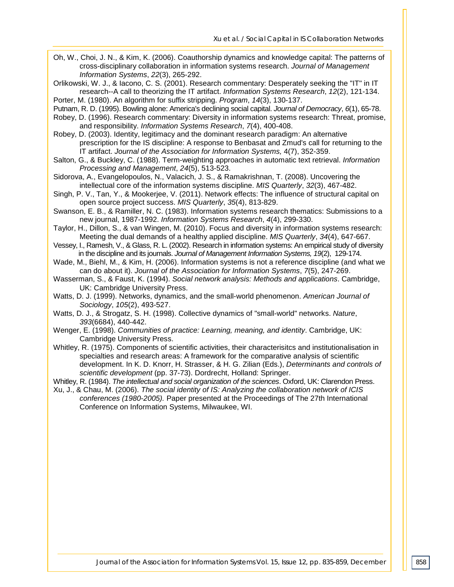- Oh, W., Choi, J. N., & Kim, K. (2006). Coauthorship dynamics and knowledge capital: The patterns of cross-disciplinary collaboration in information systems research. *Journal of Management Information Systems*, *22*(3), 265-292.
- Orlikowski, W. J., & Iacono, C. S. (2001). Research commentary: Desperately seeking the "IT" in IT research--A call to theorizing the IT artifact. *Information Systems Research*, *12*(2), 121-134.

Porter, M. (1980). An algorithm for suffix stripping. *Program*, *14*(3), 130-137.

- Putnam, R. D. (1995). Bowling alone: America's declining social capital. *Journal of Democracy*, *6*(1), 65-78.
- Robey, D. (1996). Research commentary: Diversity in information systems research: Threat, promise, and responsibility. *Information Systems Research*, *7*(4), 400-408.
- Robey, D. (2003). Identity, legitimacy and the dominant research paradigm: An alternative prescription for the IS discipline: A response to Benbasat and Zmud's call for returning to the IT artifact. *Journal of the Association for Information Systems,* 4(7), 352-359.
- Salton, G., & Buckley, C. (1988). Term-weighting approaches in automatic text retrieval. *Information Processing and Management*, *24*(5), 513-523.
- Sidorova, A., Evangelopoulos, N., Valacich, J. S., & Ramakrishnan, T. (2008). Uncovering the intellectual core of the information systems discipline. *MIS Quarterly*, *32*(3), 467-482.
- Singh, P. V., Tan, Y., & Mookerjee, V. (2011). Network effects: The influence of structural capital on open source project success. *MIS Quarterly*, *35*(4), 813-829.
- Swanson, E. B., & Ramiller, N. C. (1983). Information systems research thematics: Submissions to a new journal, 1987-1992. *Information Systems Research*, *4*(4), 299-330.
- Taylor, H., Dillon, S., & van Wingen, M. (2010). Focus and diversity in information systems research: Meeting the dual demands of a healthy applied discipline. *MIS Quarterly*, *34*(4), 647-667.
- Vessey, I., Ramesh, V., & Glass, R. L. (2002). Research in information systems: An empirical study of diversity in the discipline and its journals. *Journal of Management Information Systems, 19*(2), 129-174.
- Wade, M., Biehl, M., & Kim, H. (2006). Information systems is not a reference discipline (and what we can do about it). *Journal of the Association for Information Systems*, *7*(5), 247-269.
- Wasserman, S., & Faust, K. (1994). *Social network analysis: Methods and applications*. Cambridge, UK: Cambridge University Press.
- Watts, D. J. (1999). Networks, dynamics, and the small-world phenomenon. *American Journal of Sociology*, *105*(2), 493-527.
- Watts, D. J., & Strogatz, S. H. (1998). Collective dynamics of "small-world" networks. *Nature*, *393*(6684), 440-442.
- Wenger, E. (1998). *Communities of practice: Learning, meaning, and identity*. Cambridge, UK: Cambridge University Press.
- Whitley, R. (1975). Components of scientific activities, their characterisitcs and institutionalisation in specialties and research areas: A framework for the comparative analysis of scientific development. In K. D. Knorr, H. Strasser, & H. G. Zilian (Eds.), *Determinants and controls of scientific development* (pp. 37-73). Dordrecht, Holland: Springer.
- Whitley, R. (1984). *The intellectual and social organization of the sciences*. Oxford, UK: Clarendon Press.
- Xu, J., & Chau, M. (2006). *The social identity of IS: Analyzing the collaboration network of ICIS conferences (1980-2005).* Paper presented at the Proceedings of The 27th International Conference on Information Systems, Milwaukee, WI.